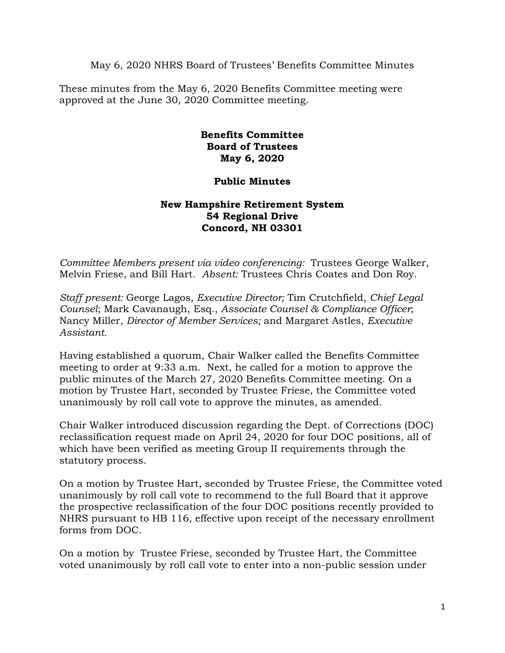May 6, 2020 NHRS Board of Trustees' Benefits Committee Minutes

These minutes from the May 6, 2020 Benefits Committee meeting were approved at the June 30, 2020 Committee meeting.

## **Benefits Committee Board of Trustees May 6, 2020**

## **Public Minutes**

## **New Hampshire Retirement System 54 Regional Drive Concord, NH 03301**

*Committee Members present via video conferencing:* Trustees George Walker, Melvin Friese, and Bill Hart. *Absent:* Trustees Chris Coates and Don Roy.

*Staff present:* George Lagos, *Executive Director;* Tim Crutchfield, *Chief Legal Counsel*; Mark Cavanaugh, Esq., *Associate Counsel & Compliance Officer*; Nancy Miller, *Director of Member Services;* and Margaret Astles, *Executive Assistant.* 

Having established a quorum, Chair Walker called the Benefits Committee meeting to order at 9:33 a.m. Next, he called for a motion to approve the public minutes of the March 27, 2020 Benefits Committee meeting. On a motion by Trustee Hart, seconded by Trustee Friese, the Committee voted unanimously by roll call vote to approve the minutes, as amended.

Chair Walker introduced discussion regarding the Dept. of Corrections (DOC) reclassification request made on April 24, 2020 for four DOC positions, all of which have been verified as meeting Group II requirements through the statutory process.

On a motion by Trustee Hart, seconded by Trustee Friese, the Committee voted unanimously by roll call vote to recommend to the full Board that it approve the prospective reclassification of the four DOC positions recently provided to NHRS pursuant to HB 116, effective upon receipt of the necessary enrollment forms from DOC.

On a motion by Trustee Friese, seconded by Trustee Hart, the Committee voted unanimously by roll call vote to enter into a non-public session under